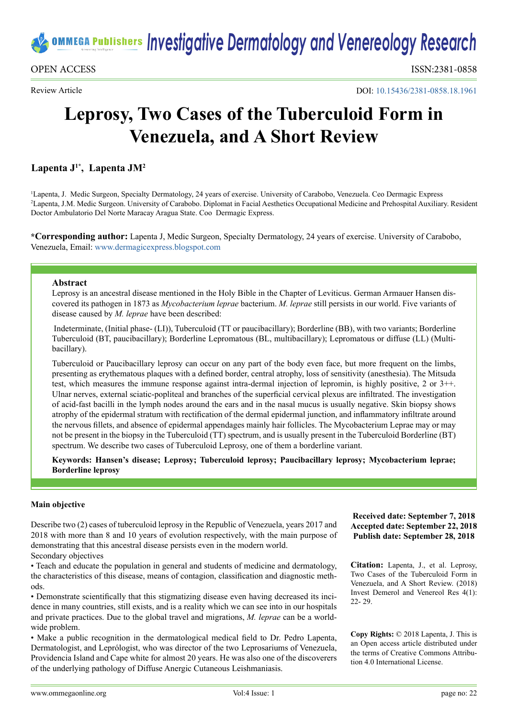

Review Article

DOI: [10.15436/2381-0858.18.1](https://doi.org/10.15436/2381-0858.18.1961)961

# **Leprosy, Two Cases of the Tuberculoid Form in Venezuela, and A Short Review**

# **Lapenta J1\*, Lapenta JM2**

1 Lapenta, J. Medic Surgeon, Specialty Dermatology, 24 years of exercise. University of Carabobo, Venezuela. Ceo Dermagic Express 2 Lapenta, J.M. Medic Surgeon. University of Carabobo. Diplomat in Facial Aesthetics Occupational Medicine and Prehospital Auxiliary. Resident Doctor Ambulatorio Del Norte Maracay Aragua State. Coo Dermagic Express.

**\*Corresponding author:** Lapenta J, Medic Surgeon, Specialty Dermatology, 24 years of exercise. University of Carabobo, Venezuela, Email: [www.dermagicexpress.blogspot.com](http://www.dermagicexpress.blogspot.com)

#### **Abstract**

Leprosy is an ancestral disease mentioned in the Holy Bible in the Chapter of Leviticus. German Armauer Hansen discovered its pathogen in 1873 as *Mycobacterium leprae* bacterium. *M. leprae* still persists in our world. Five variants of disease caused by *M. leprae* have been described:

 Indeterminate, (Initial phase- (LI)), Tuberculoid (TT or paucibacillary); Borderline (BB), with two variants; Borderline Tuberculoid (BT, paucibacillary); Borderline Lepromatous (BL, multibacillary); Lepromatous or diffuse (LL) (Multibacillary).

Tuberculoid or Paucibacillary leprosy can occur on any part of the body even face, but more frequent on the limbs, presenting as erythematous plaques with a defined border, central atrophy, loss of sensitivity (anesthesia). The Mitsuda test, which measures the immune response against intra-dermal injection of lepromin, is highly positive, 2 or 3++. Ulnar nerves, external sciatic-popliteal and branches of the superficial cervical plexus are infiltrated. The investigation of acid-fast bacilli in the lymph nodes around the ears and in the nasal mucus is usually negative. Skin biopsy shows atrophy of the epidermal stratum with rectification of the dermal epidermal junction, and inflammatory infiltrate around the nervous fillets, and absence of epidermal appendages mainly hair follicles. The Mycobacterium Leprae may or may not be present in the biopsy in the Tuberculoid (TT) spectrum, and is usually present in the Tuberculoid Borderline (BT) spectrum. We describe two cases of Tuberculoid Leprosy, one of them a borderline variant.

**Keywords: Hansen's disease; Leprosy; Tuberculoid leprosy; Paucibacillary leprosy; Mycobacterium leprae; Borderline leprosy**

### **Main objective**

Describe two (2) cases of tuberculoid leprosy in the Republic of Venezuela, years 2017 and 2018 with more than 8 and 10 years of evolution respectively, with the main purpose of demonstrating that this ancestral disease persists even in the modern world. Secondary objectives

• Teach and educate the population in general and students of medicine and dermatology, the characteristics of this disease, means of contagion, classification and diagnostic methods.

• Demonstrate scientifically that this stigmatizing disease even having decreased its incidence in many countries, still exists, and is a reality which we can see into in our hospitals and private practices. Due to the global travel and migrations, *M. leprae* can be a worldwide problem.

• Make a public recognition in the dermatological medical field to Dr. Pedro Lapenta, Dermatologist, and Leprólogist, who was director of the two Leprosariums of Venezuela, Providencia Island and Cape white for almost 20 years. He was also one of the discoverers of the underlying pathology of Diffuse Anergic Cutaneous Leishmaniasis.

**Received date: September 7, 2018 Accepted date: September 22, 2018 Publish date: September 28, 2018**

**Citation:** Lapenta, J., et al. Leprosy, Two Cases of the Tuberculoid Form in Venezuela, and A Short Review. (2018) Invest Demerol and Venereol Res 4(1): 22- 29.

**Copy Rights:** © 2018 Lapenta, J. This is an Open access article distributed under the terms of Creative Commons Attribution 4.0 International License.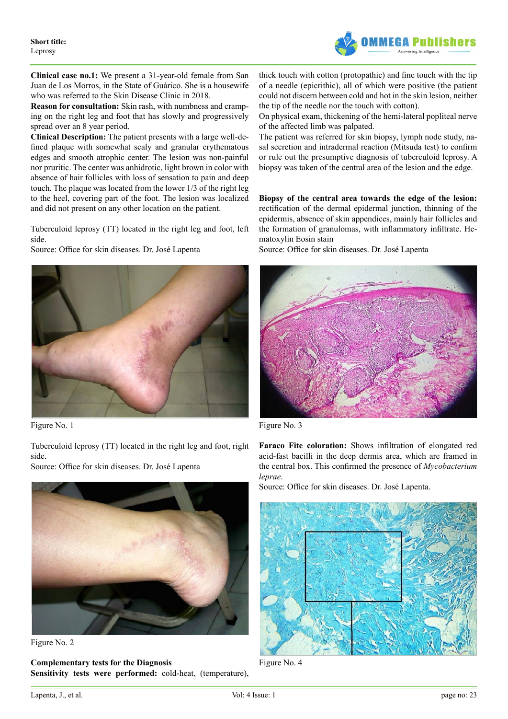

**Clinical case no.1:** We present a 31-year-old female from San Juan de Los Morros, in the State of Guárico. She is a housewife who was referred to the Skin Disease Clinic in 2018.

**Reason for consultation:** Skin rash, with numbness and cramping on the right leg and foot that has slowly and progressively spread over an 8 year period.

**Clinical Description:** The patient presents with a large well-defined plaque with somewhat scaly and granular erythematous edges and smooth atrophic center. The lesion was non-painful nor pruritic. The center was anhidrotic, light brown in color with absence of hair follicles with loss of sensation to pain and deep touch. The plaque was located from the lower 1/3 of the right leg to the heel, covering part of the foot. The lesion was localized and did not present on any other location on the patient.

Tuberculoid leprosy (TT) located in the right leg and foot, left side.

Source: Office for skin diseases. Dr. José Lapenta



Figure No. 1

Tuberculoid leprosy (TT) located in the right leg and foot, right side.

Source: Office for skin diseases. Dr. José Lapenta



Figure No. 2

**Complementary tests for the Diagnosis Sensitivity tests were performed:** cold-heat, (temperature), thick touch with cotton (protopathic) and fine touch with the tip of a needle (epicrithic), all of which were positive (the patient could not discern between cold and hot in the skin lesion, neither the tip of the needle nor the touch with cotton).

On physical exam, thickening of the hemi-lateral popliteal nerve of the affected limb was palpated.

The patient was referred for skin biopsy, lymph node study, nasal secretion and intradermal reaction (Mitsuda test) to confirm or rule out the presumptive diagnosis of tuberculoid leprosy. A biopsy was taken of the central area of the lesion and the edge.

**Biopsy of the central area towards the edge of the lesion:**  rectification of the dermal epidermal junction, thinning of the epidermis, absence of skin appendices, mainly hair follicles and the formation of granulomas, with inflammatory infiltrate. Hematoxylin Eosin stain

Source: Office for skin diseases. Dr. José Lapenta



Figure No. 3

**Faraco Fite coloration:** Shows infiltration of elongated red acid-fast bacilli in the deep dermis area, which are framed in the central box. This confirmed the presence of *Mycobacterium leprae*.

Source: Office for skin diseases. Dr. José Lapenta.



Figure No. 4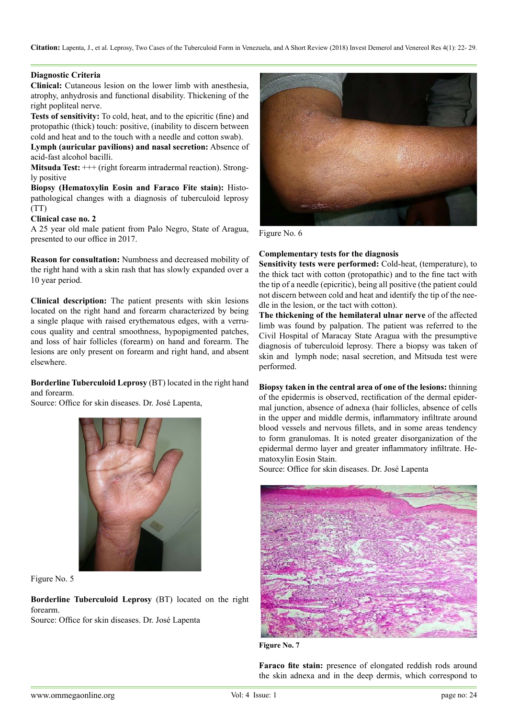**Citation:** Lapenta, J., et al. Leprosy, Two Cases of the Tuberculoid Form in Venezuela, and A Short Review (2018) Invest Demerol and Venereol Res 4(1): 22- 29.

# **Diagnostic Criteria**

**Clinical:** Cutaneous lesion on the lower limb with anesthesia, atrophy, anhydrosis and functional disability. Thickening of the right popliteal nerve.

**Tests of sensitivity:** To cold, heat, and to the epicritic (fine) and protopathic (thick) touch: positive, (inability to discern between cold and heat and to the touch with a needle and cotton swab).

**Lymph (auricular pavilions) and nasal secretion:** Absence of acid-fast alcohol bacilli.

**Mitsuda Test:**  $++$  (right forearm intradermal reaction). Strongly positive

**Biopsy (Hematoxylin Eosin and Faraco Fite stain):** Histopathological changes with a diagnosis of tuberculoid leprosy (TT)

## **Clinical case no. 2**

A 25 year old male patient from Palo Negro, State of Aragua, presented to our office in 2017.

**Reason for consultation:** Numbness and decreased mobility of the right hand with a skin rash that has slowly expanded over a 10 year period.

**Clinical description:** The patient presents with skin lesions located on the right hand and forearm characterized by being a single plaque with raised erythematous edges, with a verrucous quality and central smoothness, hypopigmented patches, and loss of hair follicles (forearm) on hand and forearm. The lesions are only present on forearm and right hand, and absent elsewhere.

**Borderline Tuberculoid Leprosy** (BT) located in the right hand and forearm.

Source: Office for skin diseases. Dr. José Lapenta,



Figure No. 5

**Borderline Tuberculoid Leprosy** (BT) located on the right forearm.

Source: Office for skin diseases. Dr. José Lapenta



Figure No. 6

# **Complementary tests for the diagnosis**

**Sensitivity tests were performed:** Cold-heat, (temperature), to the thick tact with cotton (protopathic) and to the fine tact with the tip of a needle (epicritic), being all positive (the patient could not discern between cold and heat and identify the tip of the needle in the lesion, or the tact with cotton).

**The thickening of the hemilateral ulnar nerve** of the affected limb was found by palpation. The patient was referred to the Civil Hospital of Maracay State Aragua with the presumptive diagnosis of tuberculoid leprosy. There a biopsy was taken of skin and lymph node; nasal secretion, and Mitsuda test were performed.

**Biopsy taken in the central area of one of the lesions:** thinning of the epidermis is observed, rectification of the dermal epidermal junction, absence of adnexa (hair follicles, absence of cells in the upper and middle dermis, inflammatory infiltrate around blood vessels and nervous fillets, and in some areas tendency to form granulomas. It is noted greater disorganization of the epidermal dermo layer and greater inflammatory infiltrate. Hematoxylin Eosin Stain.

Source: Office for skin diseases. Dr. José Lapenta



**Figure No. 7**

**Faraco fite stain:** presence of elongated reddish rods around the skin adnexa and in the deep dermis, which correspond to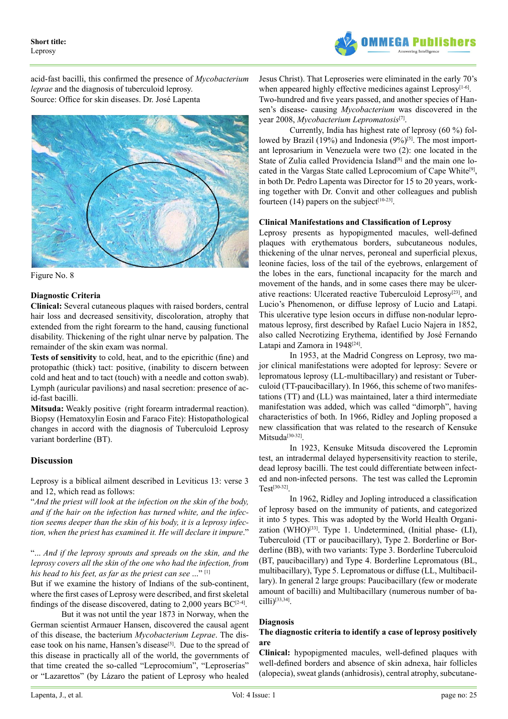

acid-fast bacilli, this confirmed the presence of *Mycobacterium leprae* and the diagnosis of tuberculoid leprosy. Source: Office for skin diseases. Dr. José Lapenta



Figure No. 8

# **Diagnostic Criteria**

**Clinical:** Several cutaneous plaques with raised borders, central hair loss and decreased sensitivity, discoloration, atrophy that extended from the right forearm to the hand, causing functional disability. Thickening of the right ulnar nerve by palpation. The remainder of the skin exam was normal.

**Tests of sensitivity** to cold, heat, and to the epicrithic (fine) and protopathic (thick) tact: positive, (inability to discern between cold and heat and to tact (touch) with a needle and cotton swab). Lymph (auricular pavilions) and nasal secretion: presence of acid-fast bacilli.

**Mitsuda:** Weakly positive (right forearm intradermal reaction). Biopsy (Hematoxylin Eosin and Faraco Fite): Histopathological changes in accord with the diagnosis of Tuberculoid Leprosy variant borderline (BT).

### **Discussion**

Leprosy is a biblical ailment described in Leviticus 13: verse 3 and 12, which read as follows:

"*And the priest will look at the infection on the skin of the body, and if the hair on the infection has turned white, and the infection seems deeper than the skin of his body, it is a leprosy infection, when the priest has examined it. He will declare it impure*."

"... *And if the leprosy sprouts and spreads on the skin, and the leprosy covers all the skin of the one who had the infection, from his head to his feet, as far as the priest can see* ..." [\[1\]](#page-5-0)

But if we examine the history of Indians of the sub-continent, where the first cases of Leprosy were described, and first skeletal findings of the disease discovered, dating to 2,000 years  $BC^{[2-4]}$  $BC^{[2-4]}$  $BC^{[2-4]}$ .

But it was not until the year 1873 in Norway, when the German scientist Armauer Hansen, discovered the causal agent of this disease, the bacterium *Mycobacterium Leprae*. The disease took on his name, Hansen's disease<sup>[5]</sup>. Due to the spread of this disease in practically all of the world, the governments of that time created the so-called "Leprocomium", "Leproserías" or "Lazarettos" (by Lázaro the patient of Leprosy who healed

Jesus Christ). That Leproseries were eliminated in the early 70's when appeared highly effective medicines against Leprosy $[1-6]$ . Two-hundred and five years passed, and another species of Hansen's disease- causing *Mycobacterium* was discovered in the year 2008, *Mycobacterium Lepromatosis*[\[7\]](#page-5-3).

Currently, India has highest rate of leprosy (60 %) followed by Brazil (19%) and Indonesia (9%)<sup>[5]</sup>. The most important leprosarium in Venezuela were two (2): one located in the State of Zulia called Providencia Island<sup>[8]</sup> and the main one located in the Vargas State called Leprocomium of Cape White<sup>[9]</sup>, in both Dr. Pedro Lapenta was Director for 15 to 20 years, working together with Dr. Convit and other colleagues and publish fourteen  $(14)$  papers on the subject<sup>[\[10-23\]](#page-5-6)</sup>.

# **Clinical Manifestations and Classification of Leprosy**

Leprosy presents as hypopigmented macules, well-defined plaques with erythematous borders, subcutaneous nodules, thickening of the ulnar nerves, peroneal and superficial plexus, leonine facies, loss of the tail of the eyebrows, enlargement of the lobes in the ears, functional incapacity for the march and movement of the hands, and in some cases there may be ulcerative reactions: Ulcerated reactive Tuberculoid Leprosy<sup>[23]</sup>, and Lucio's Phenomenon, or diffuse leprosy of Lucio and Latapi. This ulcerative type lesion occurs in diffuse non-nodular lepromatous leprosy, first described by Rafael Lucio Najera in 1852, also called Necrotizing Erythema, identified by José Fernando Latapi and Zamora in 1948<sup>[24]</sup>.

In 1953, at the Madrid Congress on Leprosy, two major clinical manifestations were adopted for leprosy: Severe or lepromatous leprosy (LL-multibacillary) and resistant or Tuberculoid (TT-paucibacillary). In 1966, this scheme of two manifestations (TT) and (LL) was maintained, later a third intermediate manifestation was added, which was called "dimorph", having characteristics of both. In 1966, Ridley and Jopling proposed a new classification that was related to the research of Kensuke Mitsuda<sup>[30-32]</sup>.

In 1923, Kensuke Mitsuda discovered the Lepromin test, an intradermal delayed hypersensitivity reaction to sterile, dead leprosy bacilli. The test could differentiate between infected and non-infected persons. The test was called the Lepromin  $Test^{[30-32]}$ 

In 1962, Ridley and Jopling introduced a classification of leprosy based on the immunity of patients, and categorized it into 5 types. This was adopted by the World Health Organization (WHO) $^{[33]}$ . Type 1. Undetermined, (Initial phase- (LI), Tuberculoid (TT or paucibacillary), Type 2. Borderline or Borderline (BB), with two variants: Type 3. Borderline Tuberculoid (BT, paucibacillary) and Type 4. Borderline Lepromatous (BL, multibacillary), Type 5. Lepromatous or diffuse (LL, Multibacillary). In general 2 large groups: Paucibacillary (few or moderate amount of bacilli) and Multibacillary (numerous number of bacilli)[\[33,34\].](#page-6-3)

### **Diagnosis**

# **The diagnostic criteria to identify a case of leprosy positively are**

**Clinical:** hypopigmented macules, well-defined plaques with well-defined borders and absence of skin adnexa, hair follicles (alopecia), sweat glands (anhidrosis), central atrophy, subcutane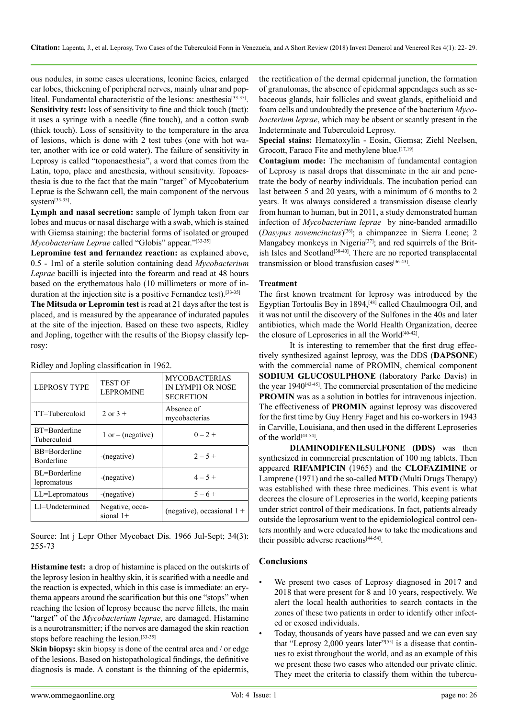ous nodules, in some cases ulcerations, leonine facies, enlarged ear lobes, thickening of peripheral nerves, mainly ulnar and popliteal. Fundamental characteristic of the lesions: anesthesia<sup>[33-35]</sup>. **Sensitivity test:** loss of sensitivity to fine and thick touch (tact): it uses a syringe with a needle (fine touch), and a cotton swab (thick touch). Loss of sensitivity to the temperature in the area of lesions, which is done with 2 test tubes (one with hot water, another with ice or cold water). The failure of sensitivity in Leprosy is called "toponaesthesia", a word that comes from the Latin, topo, place and anesthesia, without sensitivity. Topoaesthesia is due to the fact that the main "target" of Mycobaterium Leprae is the Schwann cell, the main component of the nervous system[\[33-35\]](#page-6-3).

**Lymph and nasal secretion:** sample of lymph taken from ear lobes and mucus or nasal discharge with a swab, which is stained with Giemsa staining: the bacterial forms of isolated or grouped *Mycobacterium Leprae* called "Globis" appear."[\[33-35\]](#page-6-3)

**Lepromine test and fernandez reaction:** as explained above, 0.5 - 1ml of a sterile solution containing dead *Mycobacterium Leprae* bacilli is injected into the forearm and read at 48 hours based on the erythematous halo (10 millimeters or more of induration at the injection site is a positive Fernandez test).<sup>[33-35]</sup>

**The Mitsuda or Lepromin test** is read at 21 days after the test is placed, and is measured by the appearance of indurated papules at the site of the injection. Based on these two aspects, Ridley and Jopling, together with the results of the Biopsy classify leprosy:

| <b>LEPROSY TYPE</b>                | <b>TEST OF</b><br><b>LEPROMINE</b> | <b>MYCOBACTERIAS</b><br>IN LYMPH OR NOSE<br><b>SECRETION</b> |
|------------------------------------|------------------------------------|--------------------------------------------------------------|
| TT=Tuberculoid                     | $2$ or $3 +$                       | Absence of<br>mycobacterias                                  |
| BT=Borderline<br>Tuberculoid       | $1$ or $-$ (negative)              | $0 - 2 +$                                                    |
| BB=Borderline<br><b>Borderline</b> | $-(negative)$                      | $2 - 5 +$                                                    |
| BL=Borderline<br>lepromatous       | $-(negative)$                      | $4 - 5 +$                                                    |
| LL=Lepromatous                     | -(negative)                        | $5 - 6 +$                                                    |
| LI=Undetermined                    | Negative, occa-<br>sional $1+$     | (negative), occasional $1 +$                                 |

Ridley and Jopling classification in 1962.

Source: Int j Lepr Other Mycobact Dis. 1966 Jul-Sept; 34(3): 255-73

**Histamine test:** a drop of histamine is placed on the outskirts of the leprosy lesion in healthy skin, it is scarified with a needle and the reaction is expected, which in this case is immediate: an erythema appears around the scarification but this one "stops" when reaching the lesion of leprosy because the nerve fillets, the main "target" of the *Mycobacterium leprae*, are damaged. Histamine is a neurotransmitter; if the nerves are damaged the skin reaction stops before reaching the lesion[.\[33-35\]](#page-6-3)

**Skin biopsy:** skin biopsy is done of the central area and / or edge of the lesions. Based on histopathological findings, the definitive diagnosis is made. A constant is the thinning of the epidermis, the rectification of the dermal epidermal junction, the formation of granulomas, the absence of epidermal appendages such as sebaceous glands, hair follicles and sweat glands, epithelioid and foam cells and undoubtedly the presence of the bacterium *Mycobacterium leprae*, which may be absent or scantly present in the Indeterminate and Tuberculoid Leprosy.

**Special stains:** Hematoxylin - Eosin, Giemsa; Ziehl Neelsen, Grocott, Faraco Fite and methylene blue.<sup>[17,19]</sup>

**Contagium mode:** The mechanism of fundamental contagion of Leprosy is nasal drops that disseminate in the air and penetrate the body of nearby individuals. The incubation period can last between 5 and 20 years, with a minimum of 6 months to 2 years. It was always considered a transmission disease clearly from human to human, but in 2011, a study demonstrated human infection of *Mycobacterium leprae* by nine-banded armadillo (*Dasypus novemcinctus*) [\[36\]](#page-6-4); a chimpanzee in Sierra Leone; 2 Mangabey monkeys in Nigeria<sup>[37]</sup>; and red squirrels of the British Isles and Scotland<sup>[38-40]</sup>. There are no reported transplacental transmission or blood transfusion cases<sup>[\[36-43\]](#page-6-4)</sup>.

### **Treatment**

The first known treatment for leprosy was introduced by the Egyptian Tortoulis Bey in 1894,<sup>[\[48\]](#page-6-7)</sup> called Chaulmoogra Oil, and it was not until the discovery of the Sulfones in the 40s and later antibiotics, which made the World Health Organization, decree the closure of Leproseries in all the World[\[40-42\]](#page-6-8).

It is interesting to remember that the first drug effectively synthesized against leprosy, was the DDS (**DAPSONE**) with the commercial name of PROMIN, chemical component **SODIUM GLUCOSULPHONE** (laboratory Parke Davis) in the year 1940<sup>[43-45]</sup>. The commercial presentation of the medicine **PROMIN** was as a solution in bottles for intravenous injection. The effectiveness of **PROMIN** against leprosy was discovered for the first time by Guy Henry Faget and his co-workers in 1943 in Carville, Louisiana, and then used in the different Leproseries of the world<sup>[44-54]</sup>.

**DIAMINODIFENILSULFONE (DDS)** was then synthesized in commercial presentation of 100 mg tablets. Then appeared **RIFAMPICIN** (1965) and the **CLOFAZIMINE** or Lamprene (1971) and the so-called **MTD** (Multi Drugs Therapy) was established with these three medicines. This event is what decrees the closure of Leproseries in the world, keeping patients under strict control of their medications. In fact, patients already outside the leprosarium went to the epidemiological control centers monthly and were educated how to take the medications and their possible adverse reactions<sup>[\[44-54\]](#page-6-10)</sup>.

# **Conclusions**

- We present two cases of Leprosy diagnosed in 2017 and 2018 that were present for 8 and 10 years, respectively. We alert the local health authorities to search contacts in the zones of these two patients in order to identify other infected or exosed individuals.
- Today, thousands of years have passed and we can even say that ["Leprosy 2,000 years later](http://dermagicexpress.blogspot.com/2017/03/the-leprosy-2000-years-later-la-lepra_3.html)"<sup>[55]</sup> is a disease that continues to exist throughout the world, and as an example of this we present these two cases who attended our private clinic. They meet the criteria to classify them within the tubercu-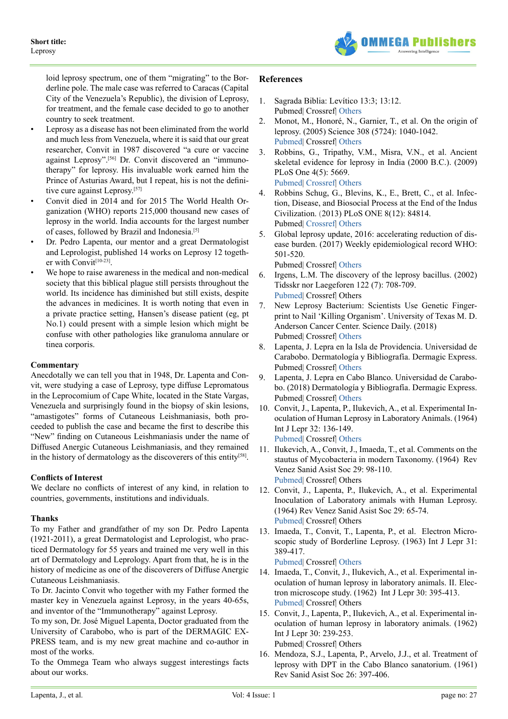

loid leprosy spectrum, one of them "migrating" to the Borderline pole. The male case was referred to Caracas (Capital City of the Venezuela's Republic), the division of Leprosy, for treatment, and the female case decided to go to another country to seek treatment.

- Leprosy as a disease has not been eliminated from the world and much less from Venezuela, where it is said that our great researcher, Convit in 1987 discovered "a cure or vaccine against Leprosy".[56] Dr. Convit discovered an "immunotherapy" for leprosy. His invaluable work earned him the Prince of Asturias Award, but I repeat, his is not the definitive cure against Leprosy.<sup>[57]</sup>
- Convit died in 2014 and for 2015 The World Health Organization (WHO) reports 215,000 thousand new cases of leprosy in the world. India accounts for the largest number of cases, followed by Brazil and Indonesia.[5]
- Dr. Pedro Lapenta, our mentor and a great Dermatologist and Leprologist, published 14 works on Leprosy 12 together with Convit<sup>[10-23]</sup>.
- We hope to raise awareness in the medical and non-medical society that this biblical plague still persists throughout the world. Its incidence has diminished but still exists, despite the advances in medicines. It is worth noting that even in a private practice setting, Hansen's disease patient (eg, pt No.1) could present with a simple lesion which might be confuse with other pathologies like granuloma annulare or tinea corporis.

# **Commentary**

Anecdotally we can tell you that in 1948, Dr. Lapenta and Convit, were studying a case of Leprosy, type diffuse Lepromatous in the Leprocomium of Cape White, located in the State Vargas, Venezuela and surprisingly found in the biopsy of skin lesions, "amastigotes" forms of Cutaneous Leishmaniasis, both proceeded to publish the case and became the first to describe this "New" finding on Cutaneous Leishmaniasis under the name of Diffused Anergic Cutaneous Leishmaniasis, and they remained in the history of dermatology as the discoverers of this entity<sup>[58]</sup>.

### **Conflicts of Interest**

We declare no conflicts of interest of any kind, in relation to countries, governments, institutions and individuals.

### **Thanks**

To my Father and grandfather of my son Dr. Pedro Lapenta (1921-2011), a great Dermatologist and Leprologist, who practiced Dermatology for 55 years and trained me very well in this art of Dermatology and Leprology. Apart from that, he is in the history of medicine as one of the discoverers of Diffuse Anergic Cutaneous Leishmaniasis.

To Dr. Jacinto Convit who together with my Father formed the master key in Venezuela against Leprosy, in the years 40-65s, and inventor of the "Immunotherapy" against Leprosy.

To my son, Dr. José Miguel Lapenta, Doctor graduated from the University of Carabobo, who is part of the DERMAGIC EX-PRESS team, and is my new great machine and co-author in most of the works.

To the Ommega Team who always suggest interestings facts about our works.

# **References**

- <span id="page-5-0"></span>1. Sagrada Biblia: Levítico 13:3; 13:12. Pubmed| Crossref| [Others](https://www.bibliaonline.com.br/acf/lv/13)
- <span id="page-5-1"></span>2. Monot, M., Honoré, N., Garnier, T., et al. On the origin of leprosy. (2005) Science 308 (5724): 1040-1042. [Pubmed](https://www.ncbi.nlm.nih.gov/pubmed/15894530)| Crossref| [Others](http://science.sciencemag.org/content/308/5724/1040)
- 3. Robbins, G., Tripathy, V.M., Misra, V.N., et al. Ancient skeletal evidence for leprosy in India (2000 B.C.). (2009) PLoS One 4(5): 5669. [Pubmed](https://www.ncbi.nlm.nih.gov/pubmed/19479078)| [Crossref|](https://doi.org/10.1371/journal.pone.0005669) [Others](https://www.harappa.com/content/ancient-skeletal-evidence-leprosy-india-2000-bce)
- 4. Robbins Schug, G., Blevins, K., E., Brett, C., et al. Infection, Disease, and Biosocial Process at the End of the Indus Civilization. (2013) PLoS ONE 8(12): 84814. Pubmed| [Crossref|](https://doi.org/10.1371/journal.pone.0084814) [Others](https://journals.plos.org/plosone/article?id=10.1371/journal.pone.0084814)
- <span id="page-5-2"></span>5. Global leprosy update, 2016: accelerating reduction of disease burden. (2017) Weekly epidemiological record WHO: 501-520.

Pubmed| Crossref| [Others](http://www.who.int/lep/resources/who_wer9235/en/)

- 6. Irgens, L.M. The discovery of the leprosy bacillus. (2002) Tidsskr nor Laegeforen 122 (7): 708-709. [Pubmed](https://www.ncbi.nlm.nih.gov/pubmed/11998735)| Crossref| Others
- <span id="page-5-3"></span>7. New Leprosy Bacterium: Scientists Use Genetic Fingerprint to Nail 'Killing Organism'. University of Texas M. D. Anderson Cancer Center. Science Daily. (2018) Pubmed| Crossref| [Others](https://www.sciencedaily.com/releases/2008/11/081124141047.htm)
- <span id="page-5-4"></span>8. Lapenta, J. Lepra en la Isla de Providencia. Universidad de Carabobo. Dermatología y Bibliografía. Dermagic Express. Pubmed| Crossref| [Others](http://dermagicexpress.blogspot.com/2017/03/providencia-leprosy-island-providencia.html)
- <span id="page-5-5"></span>9. Lapenta, J. Lepra en Cabo Blanco. Universidad de Carabobo. (2018) Dermatología y Bibliografía. Dermagic Express. Pubmed| Crossref| [Others](http://dermagicexpress.blogspot.com/2017/03/the-leprocomium-of-cape-white-el.html)
- <span id="page-5-6"></span>10. Convit, J., Lapenta, P., Ilukevich, A., et al. Experimental Inoculation of Human Leprosy in Laboratory Animals. (1964) Int J Lepr 32: 136-149. [Pubmed](https://www.ncbi.nlm.nih.gov/pubmed/14205618)| Crossref| [Others](http://ila.ilsl.br/pdfs/v32n2a04.pdf)
- 11. Ilukevich, A., Convit, J., Imaeda, T., et al. Comments on the stautus of Mycobacteria in modern Taxonomy. (1964) Rev Venez Sanid Asist Soc 29: 98-110. [Pubmed](https://www.ncbi.nlm.nih.gov/pubmed/14235759)| Crossref| Others
- 12. Convit, J., Lapenta, P., Ilukevich, A., et al. Experimental Inoculation of Laboratory animals with Human Leprosy. (1964) Rev Venez Sanid Asist Soc 29: 65-74. [Pubmed](https://www.ncbi.nlm.nih.gov/pubmed/14235756)| Crossref| Others
- 13. Imaeda, T., Convit, T., Lapenta, P., et al. Electron Microscopic study of Borderline Leprosy. (1963) Int J Lepr 31: 389-417.

[Pubmed](https://www.ncbi.nlm.nih.gov/pubmed/14166266)| Crossref| [Others](https://www.semanticscholar.org/paper/Electron-Microscopic-Study-of-Borderline-Leprosy.-Imaeda-Convit/99358e5f6d85ae3d3b9d3c9a858f432546078a1c)

- 14. Imaeda, T., Convit, J., Ilukevich, A., et al. Experimental inoculation of human leprosy in laboratory animals. II. Electron microscope study. (1962) Int J Lepr 30: 395-413. [Pubmed](https://www.ncbi.nlm.nih.gov/pubmed/13956363)| Crossref| Others
- 15. Convit, J., Lapenta, P., Ilukevich, A., et al. Experimental inoculation of human leprosy in laboratory animals. (1962) Int J Lepr 30: 239-253. Pubmed| Crossref| Others
- 16. Mendoza, S.J., Lapenta, P., Arvelo, J.J., et al. Treatment of leprosy with DPT in the Cabo Blanco sanatorium. (1961) Rev Sanid Asist Soc 26: 397-406.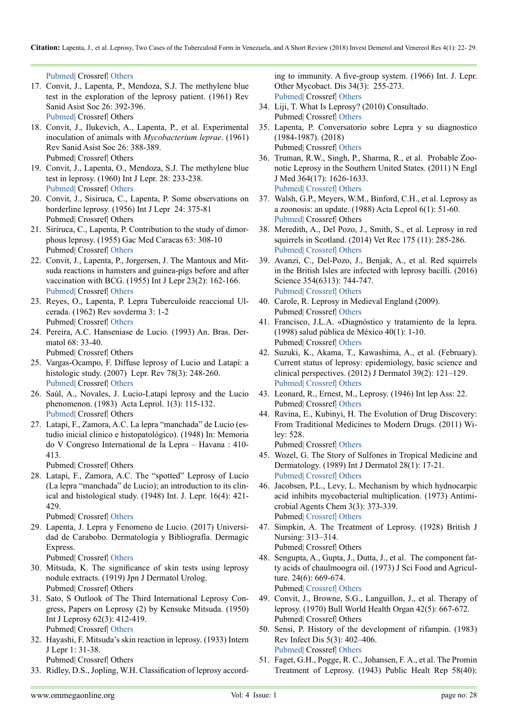[Pubmed|](https://www.ncbi.nlm.nih.gov/pubmed/14472590) Crossref| [Others](https://europepmc.org/abstract/med/14472590)

- 17. Convit, J., Lapenta, P., Mendoza, S.J. The methylene blue test in the exploration of the leprosy patient. (1961) Rev Sanid Asist Soc 26: 392-396. [Pubmed|](https://www.ncbi.nlm.nih.gov/pubmed/13881014) Crossref| Others
- 18. Convit, J., Ilukevich, A., Lapenta, P., et al. Experimental inoculation of animals with *Mycobacterium leprae*. (1961) Rev Sanid Asist Soc 26: 388-389. Pubmed| Crossref| Others
- 19. Convit, J., Lapenta, O., Mendoza, S.J. The methylene blue test in leprosy. (1960) Int J Lepr. 28: 233-238. [Pubmed|](https://www.ncbi.nlm.nih.gov/pubmed/13695213) Crossref| [Others](https://www.cabdirect.org/cabdirect/abstract/19612900847)
- 20. Convit, J., Sisiruca, C., Lapenta, P. Some observations on borderline leprosy. (1956) Int J Lepr 24: 375-81 Pubmed| Crossref| Others
- 21. Siriruca, C., Lapenta, P. Contribution to the study of dimorphous leprosy. (1955) Gac Med Caracas 63: 308-10 Pubmed| Crossref| [Others](https://revistamedica.com/lepra-tuberculoide-casos/2/)
- 22. Convit, J., Lapenta, P., Jorgersen, J. The Mantoux and Mitsuda reactions in hamsters and guinea-pigs before and after vaccination with BCG. (1955) Int J Lepr 23(2): 162-166. [Pubmed|](https://www.ncbi.nlm.nih.gov/pubmed/13262909) Crossref| [Others](https://www.cabdirect.org/cabdirect/abstract/19562900494)
- <span id="page-6-0"></span>23. Reyes, O., Lapenta, P. Lepra Tuberculoide reaccional Ulcerada. (1962) Rev sovderma 3: 1-2 Pubmed| Crossref| [Others](https://revistamedica.com/lepra-tuberculoide-casos/2/)
- <span id="page-6-1"></span>24. Pereira, A.C. Hanseniase de Lucio. (1993) An. Bras. Dermatol 68: 33-40. Pubmed| Crossref| Others
- 25. Vargas-Ocampo, F. Diffuse leprosy of Lucio and Latapí: a histologic study. (2007) Lepr. Rev 78(3): 248-260. [Pubmed|](https://www.ncbi.nlm.nih.gov/pubmed/18035776) Crossref| [Others](https://www.lepra.org.uk/platforms/lepra/files/lr/Sept07/Lep248-260.pdf)
- 26. Saúl, A., Novales, J. Lucio-Latapí leprosy and the Lucio phenomenon. (1983) Acta Leprol. 1(3): 115-132. [Pubmed|](https://www.ncbi.nlm.nih.gov/pubmed/6359800) Crossref| Others
- 27. Latapi, F., Zamora, A.C. La lepra "manchada" de Lucio (estudio inicial clinico e histopatológico). (1948) In: Memoria do V Congreso International de la Lepra – Havana : 410- 413.

Pubmed| Crossref| Others

28. Latapi, F., Zamora, A.C. The "spotted" Leprosy of Lucio (La lepra "manchada" de Lucio); an introduction to its clinical and histological study. (1948) Int. J. Lepr. 16(4): 421- 429.

Pubmed| Crossref| [Others](https://www.cabdirect.org/cabdirect/abstract/19492902008)

29. Lapenta, J. Lepra y Fenomeno de Lucio. (2017) Universidad de Carabobo. Dermatología y Bibliografía. Dermagic Express.

<span id="page-6-2"></span>Pubmed| Crossref| [Others](http://dermagicexpress.blogspot.com/2017/03/leprosy-and-lucios-phenomenon-ledpra-y.html)

- 30. Mitsuda, K. The significance of skin tests using leprosy nodule extracts. (1919) Jpn J Dermatol Urolog. Pubmed| Crossref| Others
- 31. Sato, S Outlook of The Third International Leprosy Congress, Papers on Leprosy (2) by Kensuke Mitsuda. (1950) Int J Leprosy 62(3): 412-419. Pubmed| Crossref| [Others](http://ila.ilsl.br/pdfs/v62n3a11.pdf)
- 32. Hayashi, F. Mitsuda's skin reaction in leprosy. (1933) Intern J Lepr 1: 31-38. Pubmed| Crossref| Others
- <span id="page-6-3"></span>33. Ridley, D.S., Jopling, W.H. Classification of leprosy accord-

ing to immunity. A five-group system. (1966) Int. J. Lepr. Other Mycobact. Dis 34(3): 255-273. [Pubmed](https://www.ncbi.nlm.nih.gov/pubmed/5950347)| Crossref| [Others](https://www.leprosy-information.org/resource/classification-leprosy-according-immunity-five-group-system)

- 34. Liji, T. What Is Leprosy? (2010) Consultado. Pubmed| Crossref| [Others](https://www.news-medical.net/health/What-is-Leprosy.aspx)
- 35. Lapenta, P. Conversatorio sobre Lepra y su diagnostico (1984-1987). (2018) Pubmed| Crossref| [Others](http://dermagicexpress.blogspot.com/2018/01/lyme-leprosy-and-syphilis-missing-link.html)
- <span id="page-6-4"></span>36. Truman, R.W., Singh, P., Sharma, R., et al. Probable Zoonotic Leprosy in the Southern United States. (2011) N Engl J Med 364(17): 1626-1633. [Pubmed](https://www.ncbi.nlm.nih.gov/pubmed/21524213)| [Crossref|](https://doi.org/10.1056/NEJMoa1010536) [Others](https://www.nejm.org/doi/full/10.1056/NEJMoa1010536)
- <span id="page-6-5"></span>37. Walsh, G.P., Meyers, W.M., Binford, C.H., et al. Leprosy as a zoonosis: an update. (1988) Acta Leprol 6(1): 51-60. [Pubmed](https://www.ncbi.nlm.nih.gov/pubmed/3051854)| Crossref| Others
- <span id="page-6-6"></span>38. Meredith, A., Del Pozo, J., Smith, S., et al. Leprosy in red squirrels in Scotland. (2014) Vet Rec 175 (11): 285-286. [Pubmed](https://www.ncbi.nlm.nih.gov/pubmed/25234460)| [Crossref|](http://dx.doi.org/10.1136/vr.g5680) [Others](https://veterinaryrecord.bmj.com/content/175/11/285)
- 39. Avanzi, C., Del-Pozo, J., Benjak, A., et al. Red squirrels in the British Isles are infected with leprosy bacilli. (2016) Science 354(6313): 744-747. [Pubmed](https://www.ncbi.nlm.nih.gov/pubmed/27846605)| [Crossref|](https://doi.org/10.1126/science.aah3783) [Others](https://www.sciencedaily.com/releases/2016/11/161110151820.htm)
- <span id="page-6-8"></span>40. Carole, R. Leprosy in Medieval England (2009). Pubmed| Crossref| [Others](https://www.amazon.com/Leprosy-Medieval-England-Carole-Rawcliffe/dp/1843834545)
- 41. Francisco, J.L.A. «Diagnóstico y tratamiento de la lepra. (1998) salud pública de México 40(1): 1-10. Pubmed| Crossref| [Others](https://www.scielosp.org/article/ssm/content/raw/?resource_ssm_path=/media/assets/spm/v40n1/Y0400110.pdf)
- 42. Suzuki, K., Akama, T., Kawashima, A., et al. (February). Current status of leprosy: epidemiology, basic science and clinical perspectives. (2012) J Dermatol 39(2): 121–129. [Pubmed](https://www.ncbi.nlm.nih.gov/pubmed/21973237)| [Crossref|](https://doi.org/10.1111/j.1346-8138.2011.01370.x) [Others](https://onlinelibrary.wiley.com/doi/full/10.1111/j.1346-8138.2011.01370.x)
- <span id="page-6-9"></span>43. Leonard, R., Ernest, M., Leprosy. (1946) Int lep Ass: 22. Pubmed| Crossref| [Others](https://leprosyhistory.org/database/person6)
- <span id="page-6-10"></span>44. Ravina, E., Kubinyi, H. The Evolution of Drug Discovery: From Traditional Medicines to Modern Drugs. (2011) Wiley: 528.

Pubmed| Crossref| [Others](https://www.wiley.com/en-us/The+Evolution+of+Drug+Discovery%3A+From+Traditional+Medicines+to+Modern+Drugs-p-9783527326693)

- 45. Wozel, G. The Story of Sulfones in Tropical Medicine and Dermatology. (1989) Int J Dermatol 28(1): 17-21. [Pubmed](https://www.ncbi.nlm.nih.gov/pubmed/2645226)| [Crossref|](https://doi.org/10.1111/j.1365-4362.1989.tb01301.x) [Others](https://onlinelibrary.wiley.com/doi/abs/10.1111/j.1365-4362.1989.tb01301.x)
- 46. Jacobsen, P.L., Levy, L. Mechanism by which hydnocarpic acid inhibits mycobacterial multiplication. (1973) Antimicrobial Agents Chem 3(3): 373-339. Pubmed| [Crossref|](https://doi.org/10.1128/AAC.3.3.373) [Others](https://aac.asm.org/content/3/3/373)
- 47. Simpkin, A. The Treatment of Leprosy. (1928) British J Nursing: 313–314.
	- Pubmed| Crossref| Others
- <span id="page-6-7"></span>48. Sengupta, A., Gupta, J., Dutta, J., et al. The component fatty acids of chaulmoogra oil. (1973) J Sci Food and Agriculture. 24(6): 669-674. Pubmed| [Crossref|](https://doi.org/10.1002/jsfa.2740240606) [Others](https://onlinelibrary.wiley.com/doi/abs/10.1002/jsfa.2740240606)
- 49. Convit, J., Browne, S.G., Languillon, J., et al. Therapy of leprosy. (1970) Bull World Health Organ 42(5): 667-672. Pubmed| Crossref| Others
- 50. Sensi, P. History of the development of rifampin. (1983) Rev Infect Dis 5(3): 402–406. [Pubmed](https://www.ncbi.nlm.nih.gov/pubmed/6635432)| Crossref| Others
- 51. Faget, G.H., Pogge, R. C., Johansen, F. A., et al. The Promin Treatment of Leprosy. (1943) Public Healt Rep 58(40):